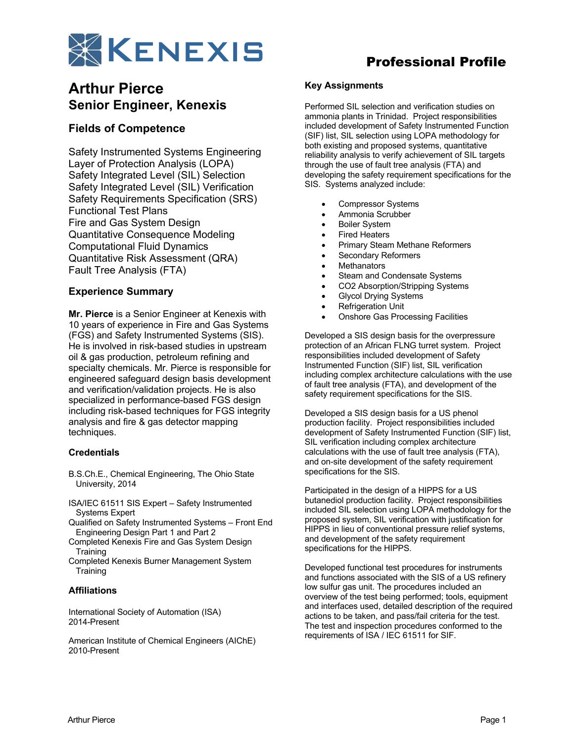

# **Arthur Pierce Senior Engineer, Kenexis**

### **Fields of Competence**

Safety Instrumented Systems Engineering Layer of Protection Analysis (LOPA) Safety Integrated Level (SIL) Selection Safety Integrated Level (SIL) Verification Safety Requirements Specification (SRS) Functional Test Plans Fire and Gas System Design Quantitative Consequence Modeling Computational Fluid Dynamics Quantitative Risk Assessment (QRA) Fault Tree Analysis (FTA)

### **Experience Summary**

**Mr. Pierce** is a Senior Engineer at Kenexis with 10 years of experience in Fire and Gas Systems (FGS) and Safety Instrumented Systems (SIS). He is involved in risk-based studies in upstream oil & gas production, petroleum refining and specialty chemicals. Mr. Pierce is responsible for engineered safeguard design basis development and verification/validation projects. He is also specialized in performance-based FGS design including risk-based techniques for FGS integrity analysis and fire & gas detector mapping techniques.

#### **Credentials**

- B.S.Ch.E., Chemical Engineering, The Ohio State University, 2014
- ISA/IEC 61511 SIS Expert Safety Instrumented Systems Expert
- Qualified on Safety Instrumented Systems Front End Engineering Design Part 1 and Part 2
- Completed Kenexis Fire and Gas System Design **Training**
- Completed Kenexis Burner Management System **Training**

#### **Affiliations**

International Society of Automation (ISA) 2014-Present

American Institute of Chemical Engineers (AIChE) 2010-Present

# Professional Profile

#### **Key Assignments**

Performed SIL selection and verification studies on ammonia plants in Trinidad. Project responsibilities included development of Safety Instrumented Function (SIF) list, SIL selection using LOPA methodology for both existing and proposed systems, quantitative reliability analysis to verify achievement of SIL targets through the use of fault tree analysis (FTA) and developing the safety requirement specifications for the SIS. Systems analyzed include:

- Compressor Systems
- Ammonia Scrubber
- **Boiler System**
- **Fired Heaters**
- Primary Steam Methane Reformers
- Secondary Reformers
- **Methanators**
- Steam and Condensate Systems
- CO2 Absorption/Stripping Systems
- Glycol Drying Systems
- Refrigeration Unit
- Onshore Gas Processing Facilities

Developed a SIS design basis for the overpressure protection of an African FLNG turret system. Project responsibilities included development of Safety Instrumented Function (SIF) list, SIL verification including complex architecture calculations with the use of fault tree analysis (FTA), and development of the safety requirement specifications for the SIS.

Developed a SIS design basis for a US phenol production facility. Project responsibilities included development of Safety Instrumented Function (SIF) list, SIL verification including complex architecture calculations with the use of fault tree analysis (FTA), and on-site development of the safety requirement specifications for the SIS.

Participated in the design of a HIPPS for a US butanediol production facility. Project responsibilities included SIL selection using LOPA methodology for the proposed system, SIL verification with justification for HIPPS in lieu of conventional pressure relief systems, and development of the safety requirement specifications for the HIPPS.

Developed functional test procedures for instruments and functions associated with the SIS of a US refinery low sulfur gas unit. The procedures included an overview of the test being performed; tools, equipment and interfaces used, detailed description of the required actions to be taken, and pass/fail criteria for the test. The test and inspection procedures conformed to the requirements of ISA / IEC 61511 for SIF.